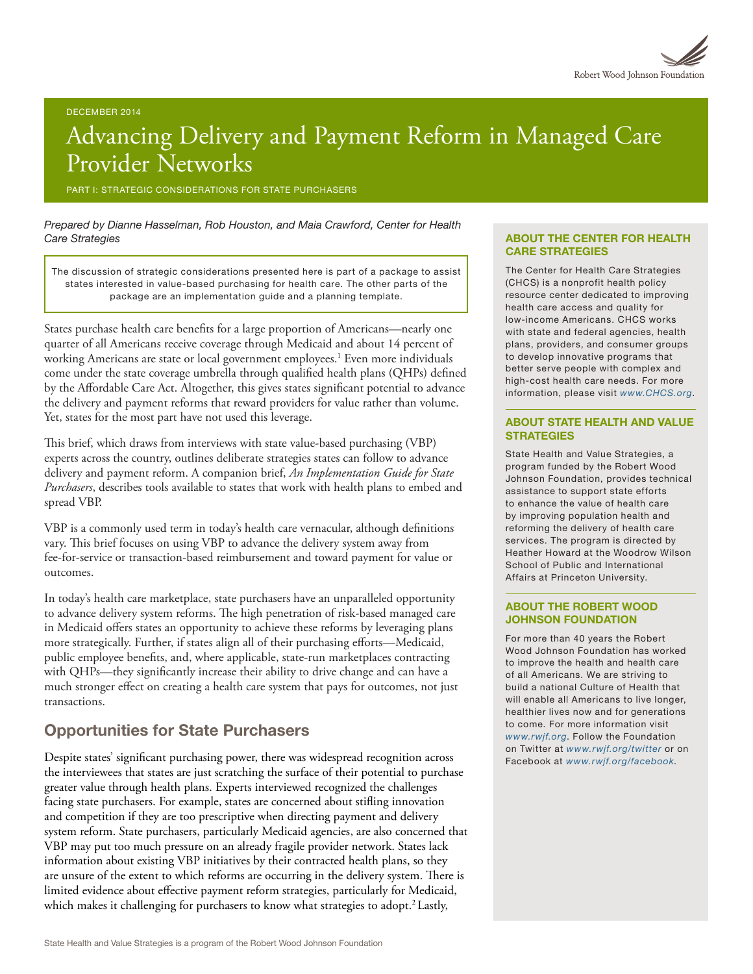# Advancing Delivery and Payment Reform in Managed Care Provider Networks

PART I: STRATEGIC CONSIDERATIONS FOR STATE PURCHASERS

*Prepared by Dianne Hasselman, Rob Houston, and Maia Crawford, Center for Health Care Strategies*

The discussion of strategic considerations presented here is part of a package to assist states interested in value-based purchasing for health care. The other parts of the package are an implementation guide and a planning template.

States purchase health care benefits for a large proportion of Americans—nearly one quarter of all Americans receive coverage through Medicaid and about 14 percent of working Americans are state or local government employees.<sup>1</sup> Even more individuals come under the state coverage umbrella through qualified health plans (QHPs) defined by the Affordable Care Act. Altogether, this gives states significant potential to advance the delivery and payment reforms that reward providers for value rather than volume. Yet, states for the most part have not used this leverage.

This brief, which draws from interviews with state value-based purchasing (VBP) experts across the country, outlines deliberate strategies states can follow to advance delivery and payment reform. A companion brief, *An Implementation Guide for State Purchasers*, describes tools available to states that work with health plans to embed and spread VBP.

VBP is a commonly used term in today's health care vernacular, although definitions vary. This brief focuses on using VBP to advance the delivery system away from fee-for-service or transaction-based reimbursement and toward payment for value or outcomes.

In today's health care marketplace, state purchasers have an unparalleled opportunity to advance delivery system reforms. The high penetration of risk-based managed care in Medicaid offers states an opportunity to achieve these reforms by leveraging plans more strategically. Further, if states align all of their purchasing efforts—Medicaid, public employee benefits, and, where applicable, state-run marketplaces contracting with QHPs—they significantly increase their ability to drive change and can have a much stronger effect on creating a health care system that pays for outcomes, not just transactions.

### Opportunities for State Purchasers

Despite states' significant purchasing power, there was widespread recognition across the interviewees that states are just scratching the surface of their potential to purchase greater value through health plans. Experts interviewed recognized the challenges facing state purchasers. For example, states are concerned about stifling innovation and competition if they are too prescriptive when directing payment and delivery system reform. State purchasers, particularly Medicaid agencies, are also concerned that VBP may put too much pressure on an already fragile provider network. States lack information about existing VBP initiatives by their contracted health plans, so they are unsure of the extent to which reforms are occurring in the delivery system. There is limited evidence about effective payment reform strategies, particularly for Medicaid, which makes it challenging for purchasers to know what strategies to adopt.<sup>2</sup> Lastly,

#### ABOUT THE CENTER FOR HEALTH CARE STRATEGIES

The Center for Health Care Strategies (CHCS) is a nonprofit health policy resource center dedicated to improving health care access and quality for low-income Americans. CHCS works with state and federal agencies, health plans, providers, and consumer groups to develop innovative programs that better serve people with complex and high-cost health care needs. For more information, please visit *[www.CHCS.org](http://www.CHCS.org)*.

#### ABOUT STATE HEALTH AND VALUE **STRATEGIES**

State Health and Value Strategies, a program funded by the Robert Wood Johnson Foundation, provides technical assistance to support state efforts to enhance the value of health care by improving population health and reforming the delivery of health care services. The program is directed by Heather Howard at the Woodrow Wilson School of Public and International Affairs at Princeton University.

#### ABOUT THE ROBERT WOOD JOHNSON FOUNDATION

For more than 40 years the Robert Wood Johnson Foundation has worked to improve the health and health care of all Americans. We are striving to build a national Culture of Health that will enable all Americans to live longer, healthier lives now and for generations to come. For more information visit *[www.rwjf.org](http://www.rwjf.org/)*. Follow the Foundation on Twitter at *[www.rwjf.org/twitter](http://www.rwjf.org/twitter)* or on Facebook at *[www.rwjf.org/facebook](http://www.rwjf.org/facebook)*.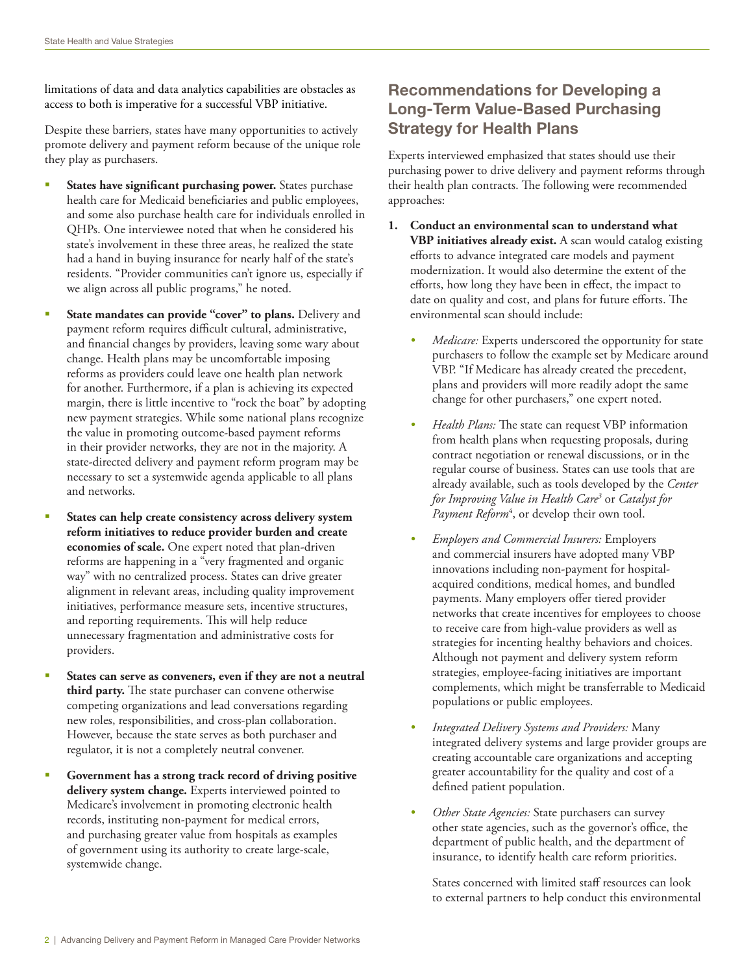limitations of data and data analytics capabilities are obstacles as access to both is imperative for a successful VBP initiative.

Despite these barriers, states have many opportunities to actively promote delivery and payment reform because of the unique role they play as purchasers.

- § **States have significant purchasing power.** States purchase health care for Medicaid beneficiaries and public employees, and some also purchase health care for individuals enrolled in QHPs. One interviewee noted that when he considered his state's involvement in these three areas, he realized the state had a hand in buying insurance for nearly half of the state's residents. "Provider communities can't ignore us, especially if we align across all public programs," he noted.
- § **State mandates can provide "cover" to plans.** Delivery and payment reform requires difficult cultural, administrative, and financial changes by providers, leaving some wary about change. Health plans may be uncomfortable imposing reforms as providers could leave one health plan network for another. Furthermore, if a plan is achieving its expected margin, there is little incentive to "rock the boat" by adopting new payment strategies. While some national plans recognize the value in promoting outcome-based payment reforms in their provider networks, they are not in the majority. A state-directed delivery and payment reform program may be necessary to set a systemwide agenda applicable to all plans and networks.
- § **States can help create consistency across delivery system reform initiatives to reduce provider burden and create economies of scale.** One expert noted that plan-driven reforms are happening in a "very fragmented and organic way" with no centralized process. States can drive greater alignment in relevant areas, including quality improvement initiatives, performance measure sets, incentive structures, and reporting requirements. This will help reduce unnecessary fragmentation and administrative costs for providers.
- § **States can serve as conveners, even if they are not a neutral third party.** The state purchaser can convene otherwise competing organizations and lead conversations regarding new roles, responsibilities, and cross-plan collaboration. However, because the state serves as both purchaser and regulator, it is not a completely neutral convener.
- § **Government has a strong track record of driving positive delivery system change.** Experts interviewed pointed to Medicare's involvement in promoting electronic health records, instituting non-payment for medical errors, and purchasing greater value from hospitals as examples of government using its authority to create large-scale, systemwide change.

# Recommendations for Developing a Long-Term Value-Based Purchasing Strategy for Health Plans

Experts interviewed emphasized that states should use their purchasing power to drive delivery and payment reforms through their health plan contracts. The following were recommended approaches:

- **1. Conduct an environmental scan to understand what VBP initiatives already exist.** A scan would catalog existing efforts to advance integrated care models and payment modernization. It would also determine the extent of the efforts, how long they have been in effect, the impact to date on quality and cost, and plans for future efforts. The environmental scan should include:
	- *• Medicare:* Experts underscored the opportunity for state purchasers to follow the example set by Medicare around VBP. "If Medicare has already created the precedent, plans and providers will more readily adopt the same change for other purchasers," one expert noted.
	- *• Health Plans:* The state can request VBP information from health plans when requesting proposals, during contract negotiation or renewal discussions, or in the regular course of business. States can use tools that are already available, such as tools developed by the *Center for Improving Value in Health Care3* or *Catalyst for*  Payment Reform<sup>4</sup>, or develop their own tool.
	- *• Employers and Commercial Insurers:* Employers and commercial insurers have adopted many VBP innovations including non-payment for hospitalacquired conditions, medical homes, and bundled payments. Many employers offer tiered provider networks that create incentives for employees to choose to receive care from high-value providers as well as strategies for incenting healthy behaviors and choices. Although not payment and delivery system reform strategies, employee-facing initiatives are important complements, which might be transferrable to Medicaid populations or public employees.
	- *• Integrated Delivery Systems and Providers:* Many integrated delivery systems and large provider groups are creating accountable care organizations and accepting greater accountability for the quality and cost of a defined patient population.
	- *• Other State Agencies:* State purchasers can survey other state agencies, such as the governor's office, the department of public health, and the department of insurance, to identify health care reform priorities.

States concerned with limited staff resources can look to external partners to help conduct this environmental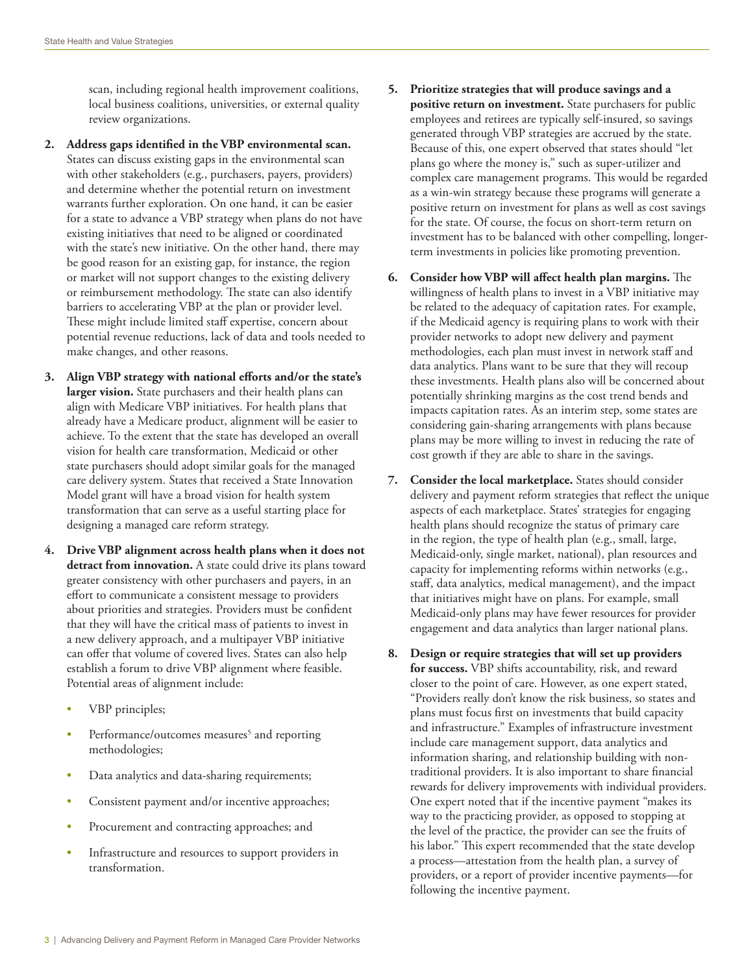scan, including regional health improvement coalitions, local business coalitions, universities, or external quality review organizations.

- **2. Address gaps identified in the VBP environmental scan.**  States can discuss existing gaps in the environmental scan with other stakeholders (e.g., purchasers, payers, providers) and determine whether the potential return on investment warrants further exploration. On one hand, it can be easier for a state to advance a VBP strategy when plans do not have existing initiatives that need to be aligned or coordinated with the state's new initiative. On the other hand, there may be good reason for an existing gap, for instance, the region or market will not support changes to the existing delivery or reimbursement methodology. The state can also identify barriers to accelerating VBP at the plan or provider level. These might include limited staff expertise, concern about potential revenue reductions, lack of data and tools needed to make changes, and other reasons.
- **3. Align VBP strategy with national efforts and/or the state's larger vision.** State purchasers and their health plans can align with Medicare VBP initiatives. For health plans that already have a Medicare product, alignment will be easier to achieve. To the extent that the state has developed an overall vision for health care transformation, Medicaid or other state purchasers should adopt similar goals for the managed care delivery system. States that received a State Innovation Model grant will have a broad vision for health system transformation that can serve as a useful starting place for designing a managed care reform strategy.
- **4. Drive VBP alignment across health plans when it does not detract from innovation.** A state could drive its plans toward greater consistency with other purchasers and payers, in an effort to communicate a consistent message to providers about priorities and strategies. Providers must be confident that they will have the critical mass of patients to invest in a new delivery approach, and a multipayer VBP initiative can offer that volume of covered lives. States can also help establish a forum to drive VBP alignment where feasible. Potential areas of alignment include:
	- VBP principles;
	- Performance/outcomes measures<sup>5</sup> and reporting methodologies;
	- Data analytics and data-sharing requirements;
	- Consistent payment and/or incentive approaches;
	- Procurement and contracting approaches; and
	- Infrastructure and resources to support providers in transformation.
- **5. Prioritize strategies that will produce savings and a positive return on investment.** State purchasers for public employees and retirees are typically self-insured, so savings generated through VBP strategies are accrued by the state. Because of this, one expert observed that states should "let plans go where the money is," such as super-utilizer and complex care management programs. This would be regarded as a win-win strategy because these programs will generate a positive return on investment for plans as well as cost savings for the state. Of course, the focus on short-term return on investment has to be balanced with other compelling, longerterm investments in policies like promoting prevention.
- **6. Consider how VBP will affect health plan margins.** The willingness of health plans to invest in a VBP initiative may be related to the adequacy of capitation rates. For example, if the Medicaid agency is requiring plans to work with their provider networks to adopt new delivery and payment methodologies, each plan must invest in network staff and data analytics. Plans want to be sure that they will recoup these investments. Health plans also will be concerned about potentially shrinking margins as the cost trend bends and impacts capitation rates. As an interim step, some states are considering gain-sharing arrangements with plans because plans may be more willing to invest in reducing the rate of cost growth if they are able to share in the savings.
- **7. Consider the local marketplace.** States should consider delivery and payment reform strategies that reflect the unique aspects of each marketplace. States' strategies for engaging health plans should recognize the status of primary care in the region, the type of health plan (e.g., small, large, Medicaid-only, single market, national), plan resources and capacity for implementing reforms within networks (e.g., staff, data analytics, medical management), and the impact that initiatives might have on plans. For example, small Medicaid-only plans may have fewer resources for provider engagement and data analytics than larger national plans.
- **8. Design or require strategies that will set up providers for success.** VBP shifts accountability, risk, and reward closer to the point of care. However, as one expert stated, "Providers really don't know the risk business, so states and plans must focus first on investments that build capacity and infrastructure." Examples of infrastructure investment include care management support, data analytics and information sharing, and relationship building with nontraditional providers. It is also important to share financial rewards for delivery improvements with individual providers. One expert noted that if the incentive payment "makes its way to the practicing provider, as opposed to stopping at the level of the practice, the provider can see the fruits of his labor." This expert recommended that the state develop a process—attestation from the health plan, a survey of providers, or a report of provider incentive payments—for following the incentive payment.